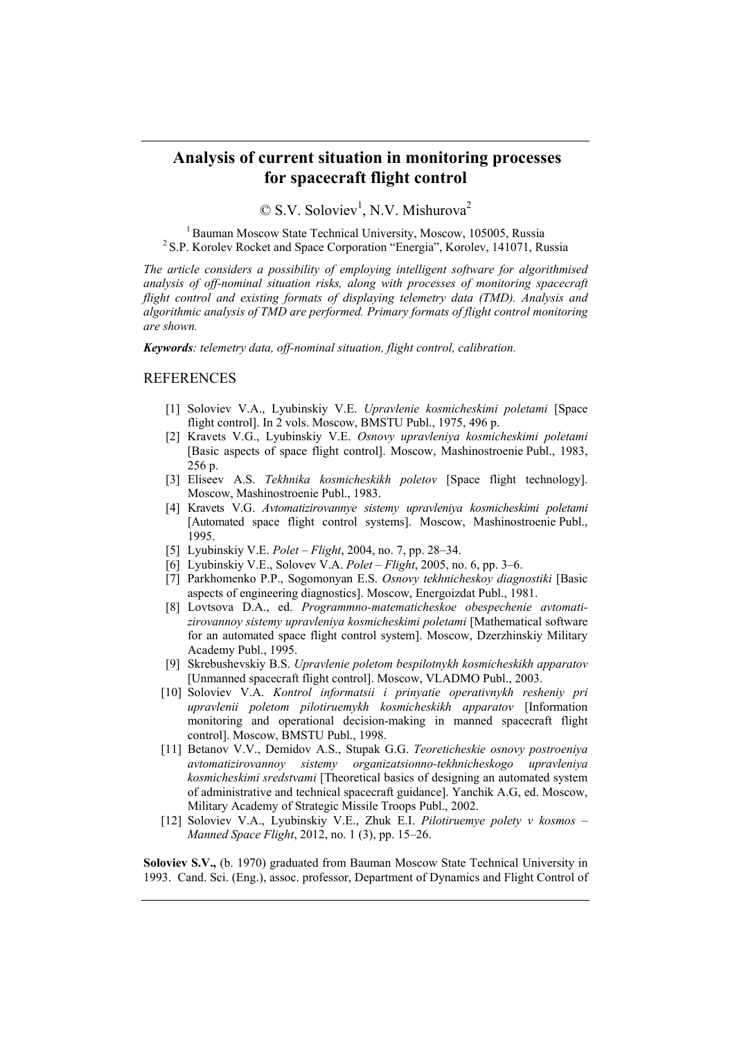## **Analysis of current situation in monitoring processes for spacecraft flight control**

 $\oslash$  S.V. Soloviev<sup>1</sup>, N.V. Mishurova<sup>2</sup>

<sup>1</sup> Bauman Moscow State Technical University, Moscow, 105005, Russia <sup>2</sup> S.P. Korolev Rocket and Space Corporation "Energia", Korolev, 141071, Russia

*The article considers a possibility of employing intelligent software for algorithmised analysis of off-nominal situation risks, along with processes of monitoring spacecraft flight control and existing formats of displaying telemetry data (TMD). Analysis and algorithmic analysis of TMD are performed. Primary formats of flight control monitoring are shown.* 

*Keywords: telemetry data, off-nominal situation, flight control, calibration.* 

## **REFERENCES**

- [1] Soloviev V.A., Lyubinskiy V.E. *Upravlenie kosmicheskimi poletami* [Space flight control]. In 2 vols. Moscow, BMSTU Publ., 1975, 496 p.
- [2] Kravets V.G., Lyubinskiy V.E. *Osnovy upravleniya kosmicheskimi poletami* [Basic aspects of space flight control]. Moscow, Mashinostroenie Publ., 1983, 256 p.
- [3] Eliseev A.S. *Tekhnika kosmicheskikh poletov* [Space flight technology]. Moscow, Mashinostroenie Publ., 1983.
- [4] Kravets V.G. *Avtomatizirovannye sistemy upravleniya kosmicheskimi poletami* [Automated space flight control systems]. Moscow, Mashinostroenie Publ., 1995.
- [5] Lyubinskiy V.E. *Polet Flight*, 2004, no. 7, pp. 28–34.
- [6] Lyubinskiy V.E., Solovev V.A. *Polet Flight*, 2005, no. 6, pp. 3–6.
- [7] Parkhomenko P.P., Sogomonyan E.S. *Osnovy tekhnicheskoy diagnostiki* [Basic aspects of engineering diagnostics]. Moscow, Energoizdat Publ., 1981.
- [8] Lovtsova D.A., ed. *Programmno-matematicheskoe obespechenie avtomatizirovannoy sistemy upravleniya kosmicheskimi poletami* [Mathematical software for an automated space flight control system]. Moscow, Dzerzhinskiy Military Academy Publ., 1995.
- [9] Skrebushevskiy B.S. *Upravlenie poletom bespilotnykh kosmicheskikh apparatov* [Unmanned spacecraft flight control]. Moscow, VLADMO Publ., 2003.
- [10] Soloviev V.A. *Kontrol informatsii i prinyatie operativnykh resheniy pri upravlenii poletom pilotiruemykh kosmicheskikh apparatov* [Information monitoring and operational decision-making in manned spacecraft flight control]. Moscow, BMSTU Publ., 1998.
- [11] Betanov V.V., Demidov A.S., Stupak G.G. *Teoreticheskie osnovy postroeniya avtomatizirovannoy sistemy organizatsionno-tekhnicheskogo upravleniya kosmicheskimi sredstvami* [Theoretical basics of designing an automated system of administrative and technical spacecraft guidance]. Yanchik A.G, ed. Moscow, Military Academy of Strategic Missile Troops Publ., 2002.
- [12] Soloviev V.A., Lyubinskiy V.E., Zhuk E.I. *Pilotiruemye polety v kosmos – Manned Space Flight*, 2012, no. 1 (3), pp. 15–26.

**Soloviev S.V.,** (b. 1970) graduated from Bauman Moscow State Technical University in 1993. Cand. Sci. (Eng.), assoc. professor, Department of Dynamics and Flight Control of